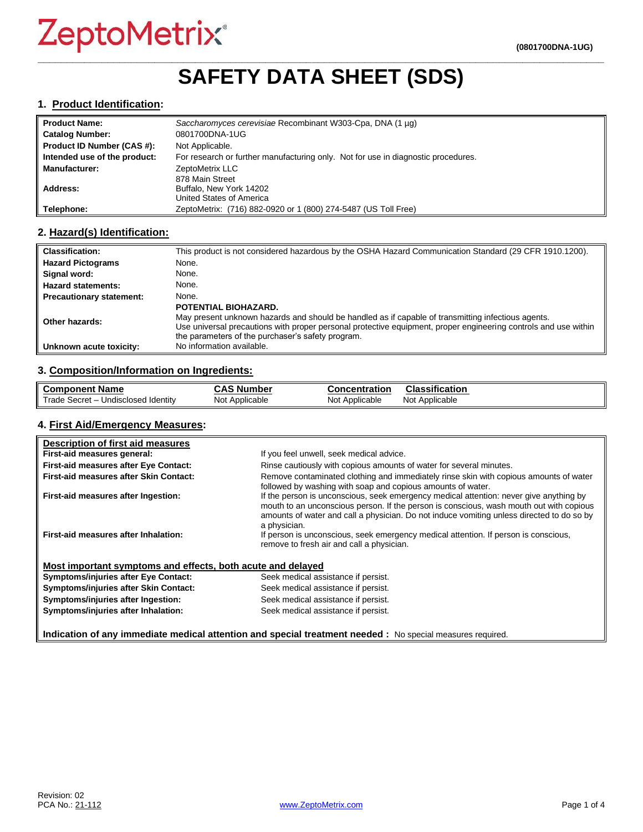# **\_\_\_\_\_\_\_\_\_\_\_\_\_\_\_\_\_\_\_\_\_\_\_\_\_\_\_\_\_\_\_\_\_\_\_\_\_\_\_\_\_\_\_\_\_\_\_\_\_\_\_\_\_\_\_\_\_\_\_\_\_\_\_\_\_\_\_\_\_\_\_\_\_\_\_\_\_\_\_\_\_\_\_\_\_\_\_\_\_\_\_\_\_\_\_\_\_ SAFETY DATA SHEET (SDS)**

#### **1. Product Identification:**

| Product Name:                | Saccharomyces cerevisiae Recombinant W303-Cpa, DNA (1 µg)                         |
|------------------------------|-----------------------------------------------------------------------------------|
| <b>Catalog Number:</b>       | 0801700DNA-1UG                                                                    |
| Product ID Number (CAS #):   | Not Applicable.                                                                   |
| Intended use of the product: | For research or further manufacturing only. Not for use in diagnostic procedures. |
| <b>Manufacturer:</b>         | ZeptoMetrix LLC                                                                   |
|                              | 878 Main Street                                                                   |
| <b>Address:</b>              | Buffalo, New York 14202                                                           |
|                              | United States of America                                                          |
| Telephone:                   | ZeptoMetrix: (716) 882-0920 or 1 (800) 274-5487 (US Toll Free)                    |

### **2. Hazard(s) Identification:**

| <b>Classification:</b>          | This product is not considered hazardous by the OSHA Hazard Communication Standard (29 CFR 1910.1200).                     |
|---------------------------------|----------------------------------------------------------------------------------------------------------------------------|
| <b>Hazard Pictograms</b>        | None.                                                                                                                      |
| Signal word:                    | None.                                                                                                                      |
| <b>Hazard statements:</b>       | None.                                                                                                                      |
| <b>Precautionary statement:</b> | None.                                                                                                                      |
|                                 | POTENTIAL BIOHAZARD.<br>May present unknown hazards and should be handled as if capable of transmitting infectious agents. |
| Other hazards:                  | Use universal precautions with proper personal protective equipment, proper engineering controls and use within            |
| Unknown acute toxicity:         | the parameters of the purchaser's safety program.<br>No information available.                                             |

# **3. Composition/Information on Ingredients:**

| <b>Component Name</b>                                  | $\Lambda$ C<br>. Number<br>. .<br>. . | Concentration     | <br><b>Classification</b> |
|--------------------------------------------------------|---------------------------------------|-------------------|---------------------------|
| Trade<br><b>Identity</b><br>Secret<br>Undisclosed<br>— | Not<br>Applicable                     | Not<br>Applicable | <b>Not</b><br>Applicable  |

#### **4. First Aid/Emergency Measures:**

| Description of first aid measures                           |                                                                                                                                                                                                                                                                                                |
|-------------------------------------------------------------|------------------------------------------------------------------------------------------------------------------------------------------------------------------------------------------------------------------------------------------------------------------------------------------------|
| First-aid measures general:                                 | If you feel unwell, seek medical advice.                                                                                                                                                                                                                                                       |
| First-aid measures after Eye Contact:                       | Rinse cautiously with copious amounts of water for several minutes.                                                                                                                                                                                                                            |
| First-aid measures after Skin Contact:                      | Remove contaminated clothing and immediately rinse skin with copious amounts of water<br>followed by washing with soap and copious amounts of water.                                                                                                                                           |
| First-aid measures after Ingestion:                         | If the person is unconscious, seek emergency medical attention: never give anything by<br>mouth to an unconscious person. If the person is conscious, wash mouth out with copious<br>amounts of water and call a physician. Do not induce vomiting unless directed to do so by<br>a physician. |
| First-aid measures after Inhalation:                        | If person is unconscious, seek emergency medical attention. If person is conscious,<br>remove to fresh air and call a physician.                                                                                                                                                               |
| Most important symptoms and effects, both acute and delayed |                                                                                                                                                                                                                                                                                                |
| <b>Symptoms/injuries after Eye Contact:</b>                 | Seek medical assistance if persist.                                                                                                                                                                                                                                                            |
| Symptoms/injuries after Skin Contact:                       | Seek medical assistance if persist.                                                                                                                                                                                                                                                            |
| Symptoms/injuries after Ingestion:                          | Seek medical assistance if persist.                                                                                                                                                                                                                                                            |
| Symptoms/injuries after Inhalation:                         | Seek medical assistance if persist.                                                                                                                                                                                                                                                            |
|                                                             | Indication of any immediate medical attention and special treatment needed : No special measures required.                                                                                                                                                                                     |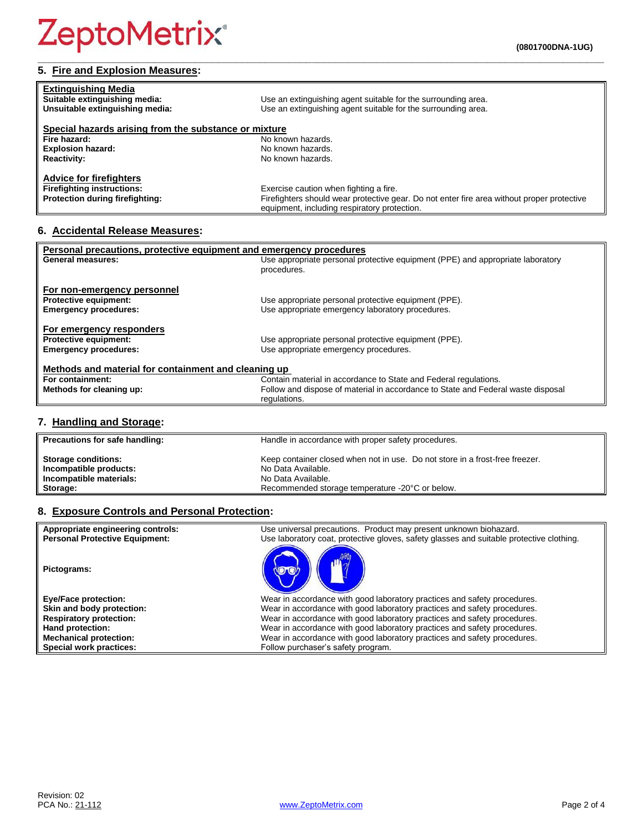## **5. Fire and Explosion Measures:**

| <b>Extinguishing Media</b><br>Suitable extinguishing media:<br>Unsuitable extinguishing media: | Use an extinguishing agent suitable for the surrounding area.<br>Use an extinguishing agent suitable for the surrounding area.             |
|------------------------------------------------------------------------------------------------|--------------------------------------------------------------------------------------------------------------------------------------------|
| Special hazards arising from the substance or mixture                                          |                                                                                                                                            |
| Fire hazard:                                                                                   | No known hazards.                                                                                                                          |
| <b>Explosion hazard:</b>                                                                       | No known hazards.                                                                                                                          |
| <b>Reactivity:</b>                                                                             | No known hazards.                                                                                                                          |
| <b>Advice for firefighters</b>                                                                 |                                                                                                                                            |
| <b>Firefighting instructions:</b>                                                              | Exercise caution when fighting a fire.                                                                                                     |
| Protection during firefighting:                                                                | Firefighters should wear protective gear. Do not enter fire area without proper protective<br>equipment, including respiratory protection. |

**\_\_\_\_\_\_\_\_\_\_\_\_\_\_\_\_\_\_\_\_\_\_\_\_\_\_\_\_\_\_\_\_\_\_\_\_\_\_\_\_\_\_\_\_\_\_\_\_\_\_\_\_\_\_\_\_\_\_\_\_\_\_\_\_\_\_\_\_\_\_\_\_\_\_\_\_\_\_\_\_\_\_\_\_\_\_\_\_\_\_\_\_\_\_\_\_\_**

# **6. Accidental Release Measures:**

| Personal precautions, protective equipment and emergency procedures |                                                                                  |  |
|---------------------------------------------------------------------|----------------------------------------------------------------------------------|--|
| <b>General measures:</b>                                            | Use appropriate personal protective equipment (PPE) and appropriate laboratory   |  |
|                                                                     | procedures.                                                                      |  |
|                                                                     |                                                                                  |  |
| For non-emergency personnel                                         |                                                                                  |  |
| <b>Protective equipment:</b>                                        | Use appropriate personal protective equipment (PPE).                             |  |
| <b>Emergency procedures:</b>                                        | Use appropriate emergency laboratory procedures.                                 |  |
|                                                                     |                                                                                  |  |
| For emergency responders                                            |                                                                                  |  |
| <b>Protective equipment:</b>                                        | Use appropriate personal protective equipment (PPE).                             |  |
| <b>Emergency procedures:</b>                                        | Use appropriate emergency procedures.                                            |  |
|                                                                     |                                                                                  |  |
| Methods and material for containment and cleaning up                |                                                                                  |  |
| For containment:                                                    | Contain material in accordance to State and Federal regulations.                 |  |
| Methods for cleaning up:                                            | Follow and dispose of material in accordance to State and Federal waste disposal |  |
|                                                                     | regulations.                                                                     |  |

### **7. Handling and Storage:**

| Precautions for safe handling: | Handle in accordance with proper safety procedures.                          |
|--------------------------------|------------------------------------------------------------------------------|
| <b>Storage conditions:</b>     | Keep container closed when not in use. Do not store in a frost-free freezer. |
| Incompatible products:         | No Data Available.                                                           |
| Incompatible materials:        | No Data Available.                                                           |
| Storage:                       | Recommended storage temperature -20°C or below.                              |

### **8. Exposure Controls and Personal Protection:**

| Appropriate engineering controls:<br><b>Personal Protective Equipment:</b> | Use universal precautions. Product may present unknown biohazard.                        |
|----------------------------------------------------------------------------|------------------------------------------------------------------------------------------|
|                                                                            | Use laboratory coat, protective gloves, safety glasses and suitable protective clothing. |
| Pictograms:                                                                |                                                                                          |
| <b>Eye/Face protection:</b>                                                | Wear in accordance with good laboratory practices and safety procedures.                 |
| Skin and body protection:                                                  | Wear in accordance with good laboratory practices and safety procedures.                 |
| <b>Respiratory protection:</b>                                             | Wear in accordance with good laboratory practices and safety procedures.                 |
| Hand protection:                                                           | Wear in accordance with good laboratory practices and safety procedures.                 |
| <b>Mechanical protection:</b>                                              | Wear in accordance with good laboratory practices and safety procedures.                 |
| Special work practices:                                                    | Follow purchaser's safety program.                                                       |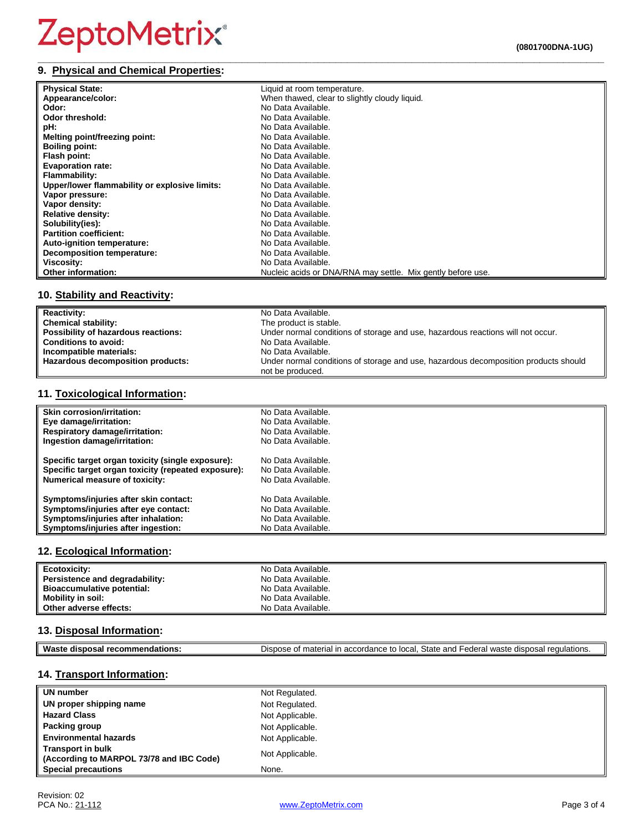## **9. Physical and Chemical Properties:**

| <b>Physical State:</b>                        | Liquid at room temperature.                                 |
|-----------------------------------------------|-------------------------------------------------------------|
| Appearance/color:                             | When thawed, clear to slightly cloudy liquid.               |
| Odor:                                         | No Data Available.                                          |
| Odor threshold:                               | No Data Available.                                          |
| pH:                                           | No Data Available.                                          |
| Melting point/freezing point:                 | No Data Available.                                          |
| <b>Boiling point:</b>                         | No Data Available.                                          |
| Flash point:                                  | No Data Available.                                          |
| <b>Evaporation rate:</b>                      | No Data Available.                                          |
| Flammability:                                 | No Data Available.                                          |
| Upper/lower flammability or explosive limits: | No Data Available.                                          |
| Vapor pressure:                               | No Data Available.                                          |
| Vapor density:                                | No Data Available.                                          |
| <b>Relative density:</b>                      | No Data Available.                                          |
| Solubility(ies):                              | No Data Available.                                          |
| <b>Partition coefficient:</b>                 | No Data Available.                                          |
| <b>Auto-ignition temperature:</b>             | No Data Available.                                          |
| Decomposition temperature:                    | No Data Available.                                          |
| Viscosity:                                    | No Data Available.                                          |
| <b>Other information:</b>                     | Nucleic acids or DNA/RNA may settle. Mix gently before use. |

**\_\_\_\_\_\_\_\_\_\_\_\_\_\_\_\_\_\_\_\_\_\_\_\_\_\_\_\_\_\_\_\_\_\_\_\_\_\_\_\_\_\_\_\_\_\_\_\_\_\_\_\_\_\_\_\_\_\_\_\_\_\_\_\_\_\_\_\_\_\_\_\_\_\_\_\_\_\_\_\_\_\_\_\_\_\_\_\_\_\_\_\_\_\_\_\_\_**

### **10. Stability and Reactivity:**

| <b>Reactivity:</b>                  | No Data Available.                                                                  |
|-------------------------------------|-------------------------------------------------------------------------------------|
| <b>Chemical stability:</b>          | The product is stable.                                                              |
| Possibility of hazardous reactions: | Under normal conditions of storage and use, hazardous reactions will not occur.     |
| <b>Conditions to avoid:</b>         | No Data Available.                                                                  |
| Incompatible materials:             | No Data Available.                                                                  |
| Hazardous decomposition products:   | Under normal conditions of storage and use, hazardous decomposition products should |
|                                     | not be produced.                                                                    |

#### **11. Toxicological Information:**

| <b>Skin corrosion/irritation:</b>                   | No Data Available. |
|-----------------------------------------------------|--------------------|
| Eye damage/irritation:                              | No Data Available. |
| <b>Respiratory damage/irritation:</b>               | No Data Available. |
| Ingestion damage/irritation:                        | No Data Available. |
| Specific target organ toxicity (single exposure):   | No Data Available. |
| Specific target organ toxicity (repeated exposure): | No Data Available. |
| Numerical measure of toxicity:                      | No Data Available. |
| Symptoms/injuries after skin contact:               | No Data Available. |
| Symptoms/injuries after eye contact:                | No Data Available. |
| Symptoms/injuries after inhalation:                 | No Data Available. |
| Symptoms/injuries after ingestion:                  | No Data Available. |

#### **12. Ecological Information:**

| Ecotoxicity:                   | No Data Available. |
|--------------------------------|--------------------|
| Persistence and degradability: | No Data Available. |
| Bioaccumulative potential:     | No Data Available. |
| Mobility in soil:              | No Data Available. |
| Other adverse effects:         | No Data Available. |

### **13. Disposal Information:**

| Waste disposal recommendations: | Dispose of material in accordance to local. State and Federal waste disposal regulations. |
|---------------------------------|-------------------------------------------------------------------------------------------|

### **14. Transport Information:**

| UN number                                                            | Not Regulated.  |
|----------------------------------------------------------------------|-----------------|
| UN proper shipping name                                              | Not Regulated.  |
| <b>Hazard Class</b>                                                  | Not Applicable. |
| <b>Packing group</b>                                                 | Not Applicable. |
| <b>Environmental hazards</b>                                         | Not Applicable. |
| <b>Transport in bulk</b><br>(According to MARPOL 73/78 and IBC Code) | Not Applicable. |
| <b>Special precautions</b>                                           | None.           |